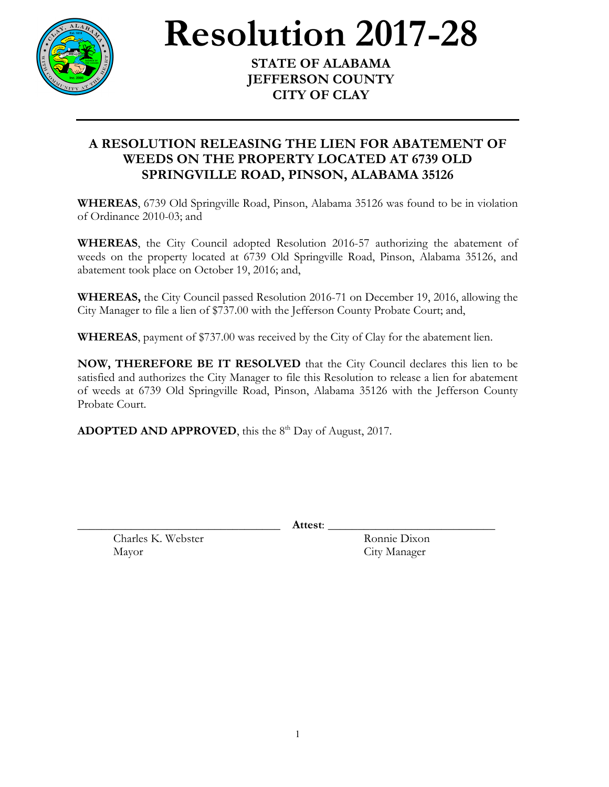

**Resolution** 2017-28

**JEFFERSON COUNTY CITY OF CLAY**

## **A RESOLUTION RELEASING THE LIEN FOR ABATEMENT OF WEEDS ON THE PROPERTY LOCATED AT 6739 OLD SPRINGVILLE ROAD, PINSON, ALABAMA 35126**

**WHEREAS**, 6739 Old Springville Road, Pinson, Alabama 35126 was found to be in violation of Ordinance 2010-03; and

**WHEREAS**, the City Council adopted Resolution 2016-57 authorizing the abatement of weeds on the property located at 6739 Old Springville Road, Pinson, Alabama 35126, and abatement took place on October 19, 2016; and,

**WHEREAS,** the City Council passed Resolution 2016-71 on December 19, 2016, allowing the City Manager to file a lien of \$737.00 with the Jefferson County Probate Court; and,

**WHEREAS**, payment of \$737.00 was received by the City of Clay for the abatement lien.

**NOW, THEREFORE BE IT RESOLVED** that the City Council declares this lien to be satisfied and authorizes the City Manager to file this Resolution to release a lien for abatement of weeds at 6739 Old Springville Road, Pinson, Alabama 35126 with the Jefferson County Probate Court.

**ADOPTED AND APPROVED**, this the 8<sup>th</sup> Day of August, 2017.

\_\_\_\_\_\_\_\_\_\_\_\_\_\_\_\_\_\_\_\_\_\_\_\_\_\_\_\_\_\_\_\_\_\_ **Attest**: \_\_\_\_\_\_\_\_\_\_\_\_\_\_\_\_\_\_\_\_\_\_\_\_\_\_\_\_

Charles K. Webster Ronnie Dixon Mayor City Manager